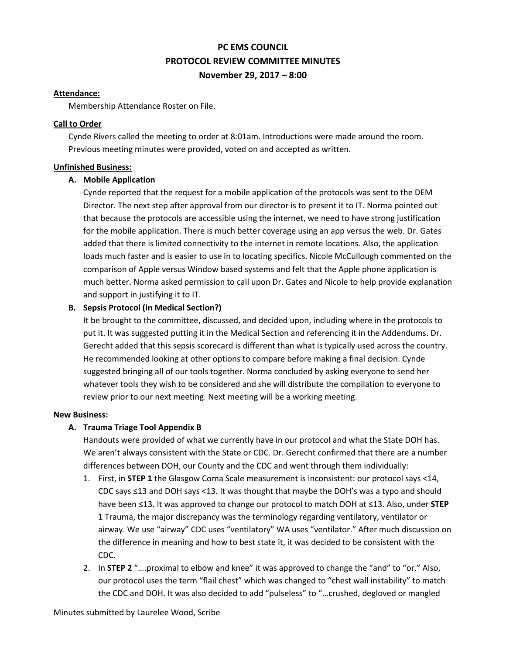# **PC EMS COUNCIL PROTOCOL REVIEW COMMITTEE MINUTES November 29, 2017 – 8:00**

#### **Attendance:**

Membership Attendance Roster on File.

#### **Call to Order**

Cynde Rivers called the meeting to order at 8:01am. Introductions were made around the room. Previous meeting minutes were provided, voted on and accepted as written.

## **Unfinished Business:**

## **A. Mobile Application**

Cynde reported that the request for a mobile application of the protocols was sent to the DEM Director. The next step after approval from our director is to present it to IT. Norma pointed out that because the protocols are accessible using the internet, we need to have strong justification for the mobile application. There is much better coverage using an app versus the web. Dr. Gates added that there is limited connectivity to the internet in remote locations. Also, the application loads much faster and is easier to use in to locating specifics. Nicole McCullough commented on the comparison of Apple versus Window based systems and felt that the Apple phone application is much better. Norma asked permission to call upon Dr. Gates and Nicole to help provide explanation and support in justifying it to IT.

# **B. Sepsis Protocol (in Medical Section?)**

It be brought to the committee, discussed, and decided upon, including where in the protocols to put it. It was suggested putting it in the Medical Section and referencing it in the Addendums. Dr. Gerecht added that this sepsis scorecard is different than what is typically used across the country. He recommended looking at other options to compare before making a final decision. Cynde suggested bringing all of our tools together. Norma concluded by asking everyone to send her whatever tools they wish to be considered and she will distribute the compilation to everyone to review prior to our next meeting. Next meeting will be a working meeting.

#### **New Business:**

# **A. Trauma Triage Tool Appendix B**

Handouts were provided of what we currently have in our protocol and what the State DOH has. We aren't always consistent with the State or CDC. Dr. Gerecht confirmed that there are a number differences between DOH, our County and the CDC and went through them individually:

- 1. First, in **STEP 1** the Glasgow Coma Scale measurement is inconsistent: our protocol says <14, CDC says ≤13 and DOH says <13. It was thought that maybe the DOH's was a typo and should have been ≤13. It was approved to change our protocol to match DOH at ≤13. Also, under **STEP 1** Trauma, the major discrepancy was the terminology regarding ventilatory, ventilator or airway. We use "airway" CDC uses "ventilatory" WA uses "ventilator." After much discussion on the difference in meaning and how to best state it, it was decided to be consistent with the CDC.
- 2. In **STEP 2** "….proximal to elbow and knee" it was approved to change the "and" to "or." Also, our protocol uses the term "flail chest" which was changed to "chest wall instability" to match the CDC and DOH. It was also decided to add "pulseless" to "…crushed, degloved or mangled